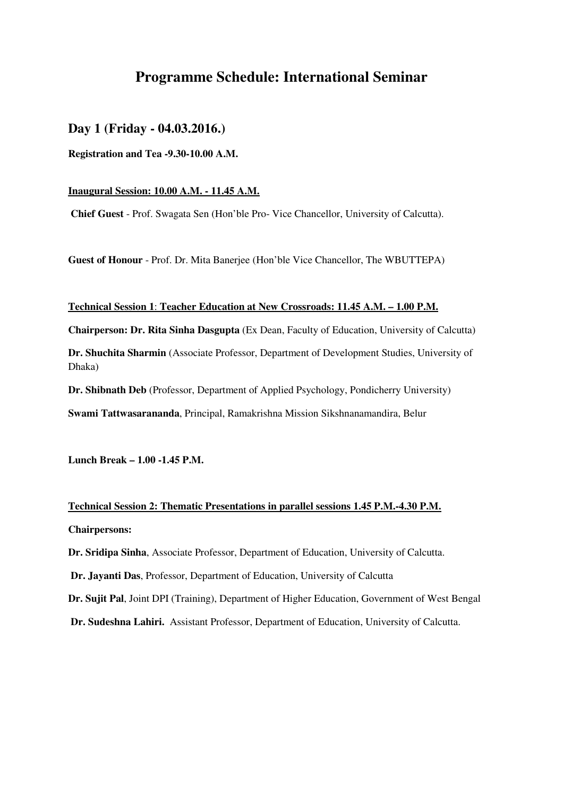## **Programme Schedule: International Seminar**

### **Day 1 (Friday - 04.03.2016.)**

**Registration and Tea -9.30-10.00 A.M.** 

#### **Inaugural Session: 10.00 A.M. - 11.45 A.M.**

 **Chief Guest** - Prof. Swagata Sen (Hon'ble Pro- Vice Chancellor, University of Calcutta).

**Guest of Honour** - Prof. Dr. Mita Banerjee (Hon'ble Vice Chancellor, The WBUTTEPA)

#### **Technical Session 1**: **Teacher Education at New Crossroads: 11.45 A.M. – 1.00 P.M.**

**Chairperson: Dr. Rita Sinha Dasgupta** (Ex Dean, Faculty of Education, University of Calcutta)

**Dr. Shuchita Sharmin** (Associate Professor, Department of Development Studies, University of Dhaka)

**Dr. Shibnath Deb** (Professor, Department of Applied Psychology, Pondicherry University)

**Swami Tattwasarananda**, Principal, Ramakrishna Mission Sikshnanamandira, Belur

**Lunch Break – 1.00 -1.45 P.M.** 

# **Technical Session 2: Thematic Presentations in parallel sessions 1.45 P.M.-4.30 P.M. Chairpersons:**

**Dr. Sridipa Sinha**, Associate Professor, Department of Education, University of Calcutta.

**Dr. Jayanti Das**, Professor, Department of Education, University of Calcutta

**Dr. Sujit Pal**, Joint DPI (Training), Department of Higher Education, Government of West Bengal

**Dr. Sudeshna Lahiri.** Assistant Professor, Department of Education, University of Calcutta.